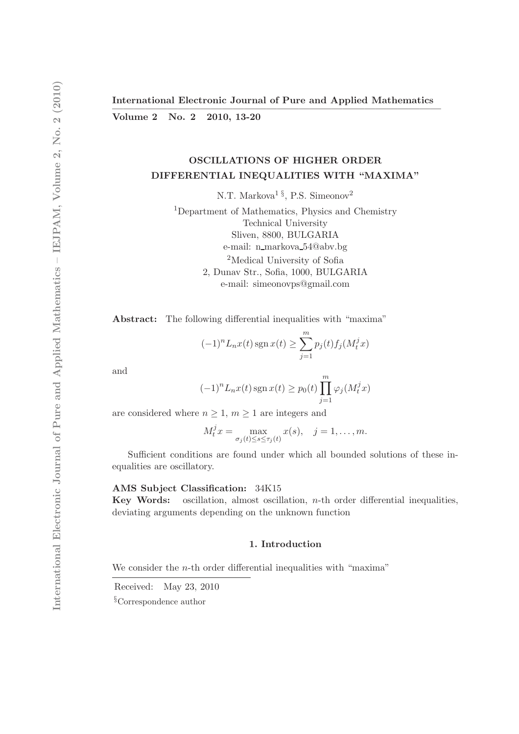Volume 2 No. 2 2010, 13-20

# OSCILLATIONS OF HIGHER ORDER DIFFERENTIAL INEQUALITIES WITH "MAXIMA"

N.T. Markova<sup>1</sup><sup>§</sup>, P.S. Simeonov<sup>2</sup>

<sup>1</sup>Department of Mathematics, Physics and Chemistry Technical University Sliven, 8800, BULGARIA e-mail: n\_markova\_54@abv.bg <sup>2</sup>Medical University of Sofia 2, Dunav Str., Sofia, 1000, BULGARIA e-mail: simeonovps@gmail.com

Abstract: The following differential inequalities with "maxima"

$$
(-1)^n L_n x(t) \operatorname{sgn} x(t) \ge \sum_{j=1}^m p_j(t) f_j(M_t^j x)
$$

and

$$
(-1)^n L_n x(t) \operatorname{sgn} x(t) \ge p_0(t) \prod_{j=1}^m \varphi_j(M_t^j x)
$$

are considered where  $n \geq 1$ ,  $m \geq 1$  are integers and

$$
M_t^j x = \max_{\sigma_j(t) \le s \le \tau_j(t)} x(s), \quad j = 1, \dots, m.
$$

Sufficient conditions are found under which all bounded solutions of these inequalities are oscillatory.

#### AMS Subject Classification: 34K15

**Key Words:** oscillation, almost oscillation,  $n$ -th order differential inequalities, deviating arguments depending on the unknown function

## 1. Introduction

We consider the  $n$ -th order differential inequalities with "maxima"

Received: May 23, 2010

§Correspondence author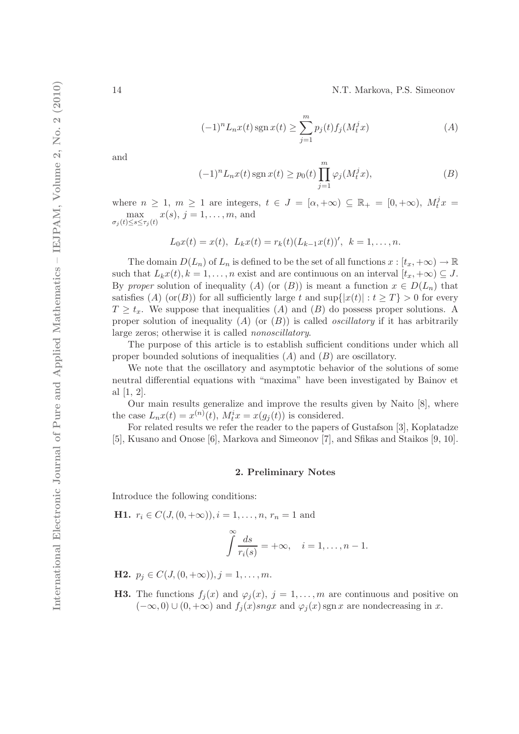14 N.T. Markova, P.S. Simeonov

$$
(-1)^{n} L_{n}x(t) \operatorname{sgn} x(t) \ge \sum_{j=1}^{m} p_{j}(t) f_{j}(M_{t}^{j} x)
$$
\n(A)

and

$$
(-1)^n L_n x(t) \operatorname{sgn} x(t) \ge p_0(t) \prod_{j=1}^m \varphi_j(M_t^j x), \tag{B}
$$

where  $n \geq 1$ ,  $m \geq 1$  are integers,  $t \in J = [\alpha, +\infty) \subseteq \mathbb{R}_+ = [0, +\infty)$ ,  $M_t^j x =$ max<br>  $\max_{\sigma_j(t)\leq s\leq \tau_j(t)}$  $x(s), j = 1, ..., m$ , and

$$
L_0x(t) = x(t), \ L_kx(t) = r_k(t)(L_{k-1}x(t))', \ k = 1, \ldots, n.
$$

The domain  $D(L_n)$  of  $L_n$  is defined to be the set of all functions  $x : [t_x, +\infty) \to \mathbb{R}$ such that  $L_kx(t), k = 1, \ldots, n$  exist and are continuous on an interval  $[t_x, +\infty) \subseteq J$ . By proper solution of inequality (A) (or (B)) is meant a function  $x \in D(L_n)$  that satisfies (A) (or(B)) for all sufficiently large t and  $\sup\{|x(t)| : t \geq T\} > 0$  for every  $T \geq t_x$ . We suppose that inequalities (A) and (B) do possess proper solutions. A proper solution of inequality (A) (or  $(B)$ ) is called *oscillatory* if it has arbitrarily large zeros; otherwise it is called nonoscillatory.

The purpose of this article is to establish sufficient conditions under which all proper bounded solutions of inequalities  $(A)$  and  $(B)$  are oscillatory.

We note that the oscillatory and asymptotic behavior of the solutions of some neutral differential equations with "maxima" have been investigated by Bainov et al [1, 2].

Our main results generalize and improve the results given by Naito [8], where the case  $L_n x(t) = x^{(n)}(t)$ ,  $M_t^i x = x(g_j(t))$  is considered.

For related results we refer the reader to the papers of Gustafson [3], Koplatadze [5], Kusano and Onose [6], Markova and Simeonov [7], and Sfikas and Staikos [9, 10].

## 2. Preliminary Notes

Introduce the following conditions:

**H1.**  $r_i \in C(J, (0, +\infty)), i = 1, \ldots, n, r_n = 1$  and

$$
\int_{i}^{\infty} \frac{ds}{r_i(s)} = +\infty, \quad i = 1, \dots, n-1.
$$

**H2.**  $p_j \in C(J, (0, +\infty)), j = 1, \ldots, m$ .

**H3.** The functions  $f_j(x)$  and  $\varphi_j(x)$ ,  $j = 1, ..., m$  are continuous and positive on  $(-\infty, 0) \cup (0, +\infty)$  and  $f_i(x)$ sngx and  $\varphi_i(x)$ sgn x are nondecreasing in x.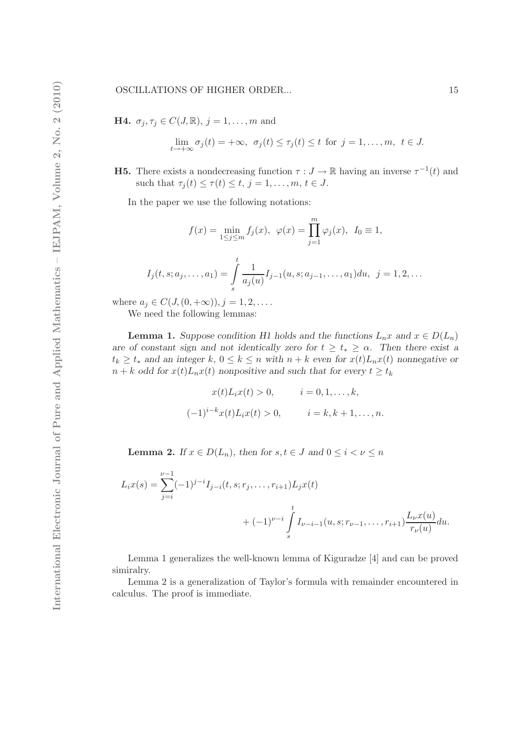#### OSCILLATIONS OF HIGHER ORDER... 15

**H4.**  $\sigma_j, \tau_j \in C(J, \mathbb{R}), j = 1, \ldots, m$  and

$$
\lim_{t \to +\infty} \sigma_j(t) = +\infty, \ \sigma_j(t) \leq \tau_j(t) \leq t \ \text{for} \ j = 1, \dots, m, \ t \in J.
$$

**H5.** There exists a nondecreasing function  $\tau: J \to \mathbb{R}$  having an inverse  $\tau^{-1}(t)$  and such that  $\tau_j(t) \leq \tau(t) \leq t, j = 1, \ldots, m, t \in J$ .

In the paper we use the following notations:

$$
f(x) = \min_{1 \le j \le m} f_j(x), \ \varphi(x) = \prod_{j=1}^m \varphi_j(x), \ I_0 \equiv 1,
$$
  

$$
I_j(t, s; a_j, \dots, a_1) = \int_s^t \frac{1}{a_j(u)} I_{j-1}(u, s; a_{j-1}, \dots, a_1) du, \ j = 1, 2, \dots
$$

where  $a_j \in C(J, (0, +\infty)), j = 1, 2, \ldots$ .

We need the following lemmas:

**Lemma 1.** Suppose condition H1 holds and the functions  $L_n x$  and  $x \in D(L_n)$ are of constant sign and not identically zero for  $t \geq t_* \geq \alpha$ . Then there exist a  $t_k \geq t_*$  and an integer k,  $0 \leq k \leq n$  with  $n + k$  even for  $x(t)L_nx(t)$  nonnegative or  $n + k$  odd for  $x(t)L_nx(t)$  nonpositive and such that for every  $t \geq t_k$ 

$$
x(t)L_i x(t) > 0, \t i = 0, 1, ..., k,
$$
  

$$
(-1)^{i-k} x(t)L_i x(t) > 0, \t i = k, k+1, ..., n.
$$

**Lemma 2.** If  $x \in D(L_n)$ , then for  $s, t \in J$  and  $0 \leq i < \nu \leq n$ 

$$
L_i x(s) = \sum_{j=i}^{\nu-1} (-1)^{j-i} I_{j-i}(t, s; r_j, \dots, r_{i+1}) L_j x(t)
$$
  
+  $(-1)^{\nu-i} \int_s^t I_{\nu-i-1}(u, s; r_{\nu-1}, \dots, r_{i+1}) \frac{L_\nu x(u)}{r_\nu(u)} du.$ 

Lemma 1 generalizes the well-known lemma of Kiguradze [4] and can be proved simiralry.

Lemma 2 is a generalization of Taylor's formula with remainder encountered in calculus. The proof is immediate.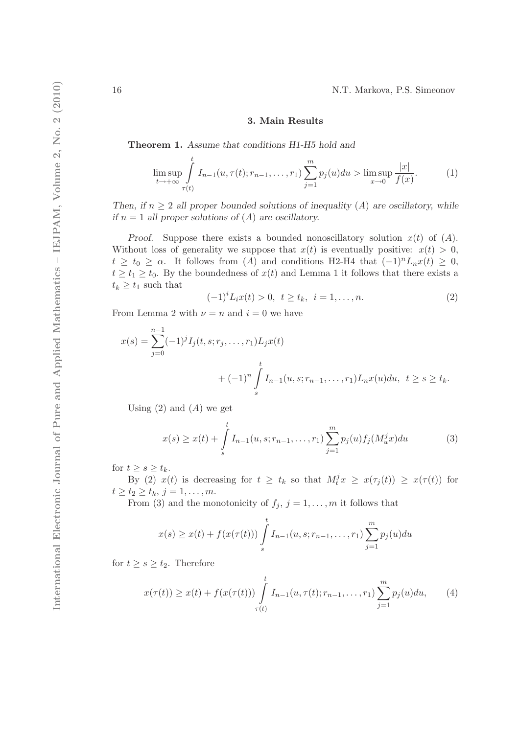# 3. Main Results

Theorem 1. Assume that conditions H1-H5 hold and

$$
\limsup_{t \to +\infty} \int_{\tau(t)}^{t} I_{n-1}(u, \tau(t); r_{n-1}, \dots, r_1) \sum_{j=1}^{m} p_j(u) du > \limsup_{x \to 0} \frac{|x|}{f(x)}.
$$
 (1)

Then, if  $n \geq 2$  all proper bounded solutions of inequality (A) are oscillatory, while if  $n = 1$  all proper solutions of  $(A)$  are oscillatory.

Proof. Suppose there exists a bounded nonoscillatory solution  $x(t)$  of  $(A)$ . Without loss of generality we suppose that  $x(t)$  is eventually positive:  $x(t) > 0$ ,  $t \ge t_0 \ge \alpha$ . It follows from (A) and conditions H2-H4 that  $(-1)^n L_n x(t) \ge 0$ ,  $t \geq t_1 \geq t_0$ . By the boundedness of  $x(t)$  and Lemma 1 it follows that there exists a  $t_k \geq t_1$  such that

$$
(-1)^{i}L_{i}x(t) > 0, \ t \ge t_{k}, \ i = 1, \ldots, n.
$$
 (2)

From Lemma 2 with  $\nu = n$  and  $i = 0$  we have

$$
x(s) = \sum_{j=0}^{n-1} (-1)^j I_j(t, s; r_j, \dots, r_1) L_j x(t)
$$
  
+ 
$$
(-1)^n \int_s^t I_{n-1}(u, s; r_{n-1}, \dots, r_1) L_n x(u) du, \ t \ge s \ge t_k.
$$

Using  $(2)$  and  $(A)$  we get

$$
x(s) \ge x(t) + \int_{s}^{t} I_{n-1}(u, s; r_{n-1}, \dots, r_1) \sum_{j=1}^{m} p_j(u) f_j(M_u^j x) du \tag{3}
$$

for  $t \geq s \geq t_k$ .

By (2)  $x(t)$  is decreasing for  $t \geq t_k$  so that  $M_t^j x \geq x(\tau_j(t)) \geq x(\tau(t))$  for  $t \geq t_2 \geq t_k, j = 1, \ldots, m.$ 

From (3) and the monotonicity of  $f_j$ ,  $j = 1, \ldots, m$  it follows that

$$
x(s) \ge x(t) + f(x(\tau(t))) \int_{s}^{t} I_{n-1}(u, s; r_{n-1}, \dots, r_1) \sum_{j=1}^{m} p_j(u) du
$$

for  $t \geq s \geq t_2$ . Therefore

$$
x(\tau(t)) \ge x(t) + f(x(\tau(t))) \int_{\tau(t)}^t I_{n-1}(u, \tau(t); r_{n-1}, \dots, r_1) \sum_{j=1}^m p_j(u) du,
$$
 (4)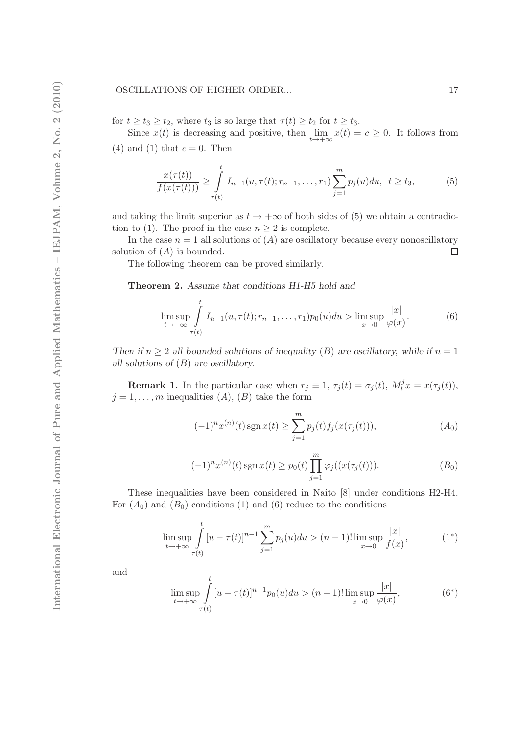for  $t \ge t_3 \ge t_2$ , where  $t_3$  is so large that  $\tau(t) \ge t_2$  for  $t \ge t_3$ .

Since  $x(t)$  is decreasing and positive, then  $\lim_{t \to +\infty} x(t) = c \ge 0$ . It follows from (4) and (1) that  $c = 0$ . Then

$$
\frac{x(\tau(t))}{f(x(\tau(t)))} \ge \int_{\tau(t)}^t I_{n-1}(u, \tau(t); r_{n-1}, \dots, r_1) \sum_{j=1}^m p_j(u) du, \ \ t \ge t_3,
$$
 (5)

and taking the limit superior as  $t \to +\infty$  of both sides of (5) we obtain a contradiction to (1). The proof in the case  $n \geq 2$  is complete.

In the case  $n = 1$  all solutions of  $(A)$  are oscillatory because every nonoscillatory solution of  $(A)$  is bounded.  $\Box$ 

The following theorem can be proved similarly.

Theorem 2. Assume that conditions H1-H5 hold and

$$
\limsup_{t \to +\infty} \int_{\tau(t)}^t I_{n-1}(u, \tau(t); r_{n-1}, \dots, r_1) p_0(u) du > \limsup_{x \to 0} \frac{|x|}{\varphi(x)}.
$$
 (6)

Then if  $n \geq 2$  all bounded solutions of inequality (B) are oscillatory, while if  $n = 1$ all solutions of  $(B)$  are oscillatory.

**Remark 1.** In the particular case when  $r_j \equiv 1$ ,  $\tau_j(t) = \sigma_j(t)$ ,  $M_t^j x = x(\tau_j(t))$ ,  $j = 1, \ldots, m$  inequalities  $(A), (B)$  take the form

$$
(-1)^{n} x^{(n)}(t) \operatorname{sgn} x(t) \ge \sum_{j=1}^{m} p_{j}(t) f_{j}(x(\tau_{j}(t))), \qquad (A_{0})
$$

$$
(-1)^{n} x^{(n)}(t) \operatorname{sgn} x(t) \ge p_0(t) \prod_{j=1}^{m} \varphi_j((x(\tau_j(t))). \tag{B_0}
$$

These inequalities have been considered in Naito [8] under conditions H2-H4. For  $(A_0)$  and  $(B_0)$  conditions (1) and (6) reduce to the conditions

$$
\limsup_{t \to +\infty} \int_{\tau(t)}^{t} [u - \tau(t)]^{n-1} \sum_{j=1}^{m} p_j(u) du > (n-1)! \limsup_{x \to 0} \frac{|x|}{f(x)},
$$
\n(1\*)

and

$$
\limsup_{t \to +\infty} \int_{\tau(t)}^{t} [u - \tau(t)]^{n-1} p_0(u) du > (n-1)! \limsup_{x \to 0} \frac{|x|}{\varphi(x)},
$$
(6\*)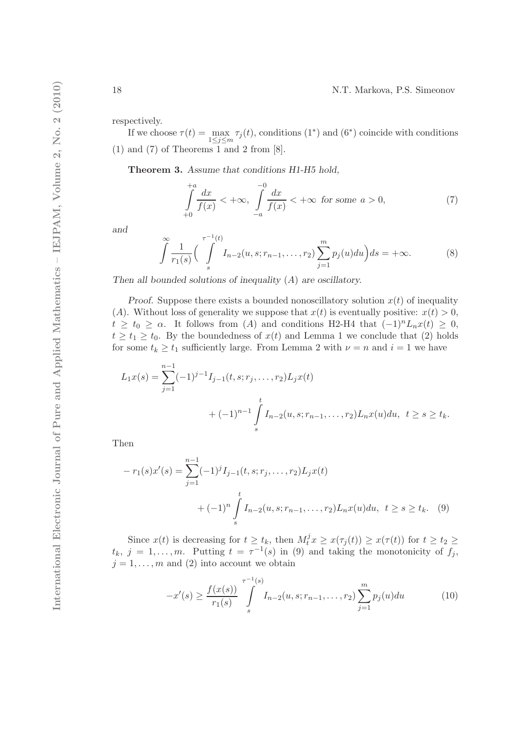respectively.

If we choose  $\tau(t) = \max_{1 \leq j \leq m} \tau_j(t)$ , conditions  $(1^*)$  and  $(6^*)$  coincide with conditions  $(1)$  and  $(7)$  of Theorems 1 and 2 from  $[8]$ .

Theorem 3. Assume that conditions H1-H5 hold,

$$
\int_{+0}^{+a} \frac{dx}{f(x)} < +\infty, \quad \int_{-a}^{-0} \frac{dx}{f(x)} < +\infty \quad \text{for some } a > 0,\tag{7}
$$

and

$$
\int_{0}^{\infty} \frac{1}{r_1(s)} \left( \int_{s}^{\tau^{-1}(t)} I_{n-2}(u, s; r_{n-1}, \dots, r_2) \sum_{j=1}^{m} p_j(u) du \right) ds = +\infty.
$$
 (8)

Then all bounded solutions of inequality  $(A)$  are oscillatory.

Proof. Suppose there exists a bounded nonoscillatory solution  $x(t)$  of inequality (A). Without loss of generality we suppose that  $x(t)$  is eventually positive:  $x(t) > 0$ ,  $t \geq t_0 \geq \alpha$ . It follows from (A) and conditions H2-H4 that  $(-1)^n L_n x(t) \geq 0$ ,  $t \geq t_1 \geq t_0$ . By the boundedness of  $x(t)$  and Lemma 1 we conclude that (2) holds for some  $t_k \geq t_1$  sufficiently large. From Lemma 2 with  $\nu = n$  and  $i = 1$  we have

$$
L_1x(s) = \sum_{j=1}^{n-1} (-1)^{j-1} I_{j-1}(t, s; r_j, \dots, r_2) L_j x(t)
$$
  
+ 
$$
(-1)^{n-1} \int_s^t I_{n-2}(u, s; r_{n-1}, \dots, r_2) L_n x(u) du, \quad t \geq s \geq t_k.
$$

Then

$$
-r_1(s)x'(s) = \sum_{j=1}^{n-1} (-1)^j I_{j-1}(t, s; r_j, \dots, r_2) L_j x(t)
$$
  
+ 
$$
(-1)^n \int_s^t I_{n-2}(u, s; r_{n-1}, \dots, r_2) L_n x(u) du, \ t \ge s \ge t_k.
$$
 (9)

Since  $x(t)$  is decreasing for  $t \ge t_k$ , then  $M_t^j x \ge x(\tau_j(t)) \ge x(\tau(t))$  for  $t \ge t_2 \ge$  $t_k, j = 1, \ldots, m$ . Putting  $t = \tau^{-1}(s)$  in (9) and taking the monotonicity of  $f_j$ ,  $j = 1, \ldots, m$  and (2) into account we obtain

$$
-x'(s) \ge \frac{f(x(s))}{r_1(s)} \int\limits_s^{\tau^{-1}(s)} I_{n-2}(u,s;r_{n-1},\ldots,r_2) \sum\limits_{j=1}^m p_j(u) du \tag{10}
$$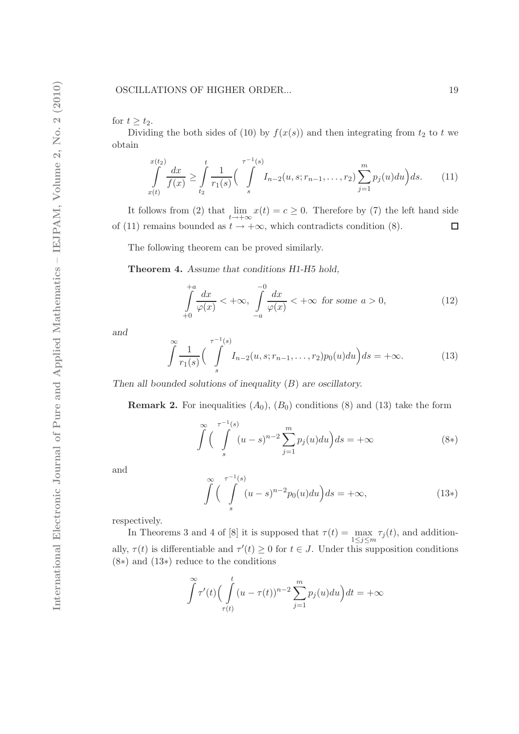for  $t \geq t_2$ .

Dividing the both sides of (10) by  $f(x(s))$  and then integrating from  $t_2$  to t we obtain

$$
\int_{x(t)}^{x(t_2)} \frac{dx}{f(x)} \ge \int_{t_2}^t \frac{1}{r_1(s)} \left( \int_s^{\tau^{-1}(s)} I_{n-2}(u, s; r_{n-1}, \dots, r_2) \sum_{j=1}^m p_j(u) du \right) ds. \tag{11}
$$

It follows from (2) that  $\lim_{t \to +\infty} x(t) = c \ge 0$ . Therefore by (7) the left hand side of (11) remains bounded as  $t \to +\infty$ , which contradicts condition (8).  $\Box$ 

The following theorem can be proved similarly.

Theorem 4. Assume that conditions H1-H5 hold,

$$
\int_{+0}^{+a} \frac{dx}{\varphi(x)} < +\infty, \quad \int_{-a}^{-0} \frac{dx}{\varphi(x)} < +\infty \quad \text{for some } a > 0,\tag{12}
$$

and

$$
\int_{0}^{\infty} \frac{1}{r_1(s)} \left( \int_{s}^{\tau^{-1}(s)} I_{n-2}(u, s; r_{n-1}, \dots, r_2) p_0(u) du \right) ds = +\infty.
$$
 (13)

Then all bounded solutions of inequality  $(B)$  are oscillatory.

**Remark 2.** For inequalities  $(A_0)$ ,  $(B_0)$  conditions (8) and (13) take the form

$$
\int_{s}^{\infty} \left( \int_{s}^{\tau^{-1}(s)} (u-s)^{n-2} \sum_{j=1}^{m} p_j(u) du \right) ds = +\infty
$$
\n(8\*)

and

$$
\int_{s}^{\infty} \left( \int_{s}^{\tau^{-1}(s)} (u-s)^{n-2} p_0(u) du \right) ds = +\infty,
$$
\n(13\*)

respectively.

In Theorems 3 and 4 of [8] it is supposed that  $\tau(t) = \max_{1 \le j \le m} \tau_j(t)$ , and additionally,  $\tau(t)$  is differentiable and  $\tau'(t) \geq 0$  for  $t \in J$ . Under this supposition conditions (8∗) and (13∗) reduce to the conditions

$$
\int_{-\tau}^{\infty} \tau'(t) \left( \int_{\tau(t)}^{t} (u - \tau(t))^{n-2} \sum_{j=1}^{m} p_j(u) du \right) dt = +\infty
$$